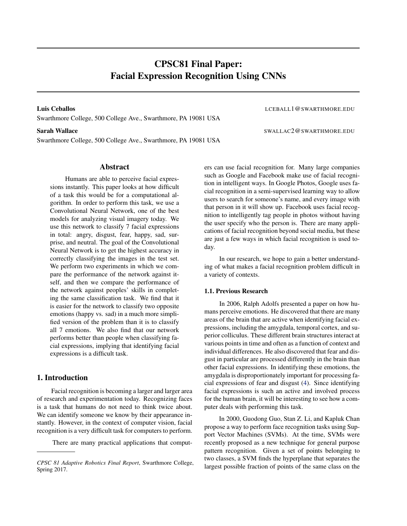# CPSC81 Final Paper: Facial Expression Recognition Using CNNs

Luis Ceballos LCEBALL1@SWARTHMORE.EDU Swarthmore College, 500 College Ave., Swarthmore, PA 19081 USA

Swarthmore College, 500 College Ave., Swarthmore, PA 19081 USA

## Abstract

Humans are able to perceive facial expressions instantly. This paper looks at how difficult of a task this would be for a computational algorithm. In order to perform this task, we use a Convolutional Neural Network, one of the best models for analyzing visual imagery today. We use this network to classify 7 facial expressions in total: angry, disgust, fear, happy, sad, surprise, and neutral. The goal of the Convolutional Neural Network is to get the highest accuracy in correctly classifying the images in the test set. We perform two experiments in which we compare the performance of the network against itself, and then we compare the performance of the network against peoples' skills in completing the same classification task. We find that it is easier for the network to classify two opposite emotions (happy vs. sad) in a much more simplified version of the problem than it is to classify all 7 emotions. We also find that our network performs better than people when classifying facial expressions, implying that identifying facial expressions is a difficult task.

## 1. Introduction

Facial recognition is becoming a larger and larger area of research and experimentation today. Recognizing faces is a task that humans do not need to think twice about. We can identify someone we know by their appearance instantly. However, in the context of computer vision, facial recognition is a very difficult task for computers to perform.

There are many practical applications that comput-

Sarah Wallace Swarthmore.edu

ers can use facial recognition for. Many large companies such as Google and Facebook make use of facial recognition in intelligent ways. In Google Photos, Google uses facial recognition in a semi-supervised learning way to allow users to search for someone's name, and every image with that person in it will show up. Facebook uses facial recognition to intelligently tag people in photos without having the user specify who the person is. There are many applications of facial recognition beyond social media, but these are just a few ways in which facial recognition is used today.

In our research, we hope to gain a better understanding of what makes a facial recognition problem difficult in a variety of contexts.

## 1.1. Previous Research

In 2006, Ralph Adolfs presented a paper on how humans perceive emotions. He discovered that there are many areas of the brain that are active when identifying facial expressions, including the amygdala, temporal cortex, and superior colliculus. These different brain structures interact at various points in time and often as a function of context and individual differences. He also discovered that fear and disgust in particular are processed differently in the brain than other facial expressions. In identifying these emotions, the amygdala is disproportionately important for processing facial expressions of fear and disgust [\(4\)](#page-7-0). Since identifying facial expressions is such an active and involved process for the human brain, it will be interesting to see how a computer deals with performing this task.

In 2000, Guodong Guo, Stan Z. Li, and Kapluk Chan propose a way to perform face recognition tasks using Support Vector Machines (SVMs). At the time, SVMs were recently proposed as a new technique for general purpose pattern recognition. Given a set of points belonging to two classes, a SVM finds the hyperplane that separates the largest possible fraction of points of the same class on the

*CPSC 81 Adaptive Robotics Final Report*, Swarthmore College, Spring 2017.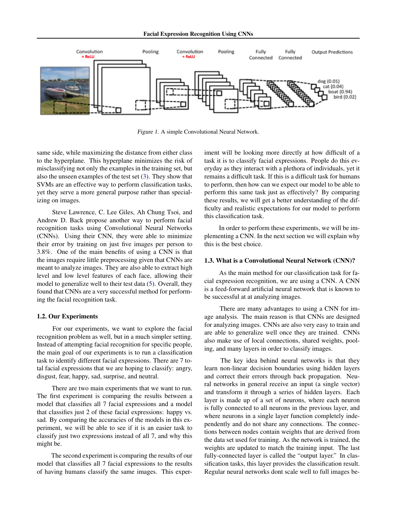Facial Expression Recognition Using CNNs

<span id="page-1-0"></span>

Figure 1. A simple Convolutional Neural Network.

same side, while maximizing the distance from either class to the hyperplane. This hyperplane minimizes the risk of misclassifying not only the examples in the training set, but also the unseen examples of the test set [\(3\)](#page-7-0). They show that SVMs are an effective way to perform classification tasks, yet they serve a more general purpose rather than specializing on images.

Steve Lawrence, C. Lee Giles, Ah Chung Tsoi, and Andrew D. Back propose another way to perform facial recognition tasks using Convolutional Neural Networks (CNNs). Using their CNN, they were able to minimize their error by training on just five images per person to 3.8%. One of the main benefits of using a CNN is that the images require little preprocessing given that CNNs are meant to analyze images. They are also able to extract high level and low level features of each face, allowing their model to generalize well to their test data [\(5\)](#page-7-0). Overall, they found that CNNs are a very successful method for performing the facial recognition task.

#### 1.2. Our Experiments

For our experiments, we want to explore the facial recognition problem as well, but in a much simpler setting. Instead of attempting facial recognition for specific people, the main goal of our experiments is to run a classification task to identify different facial expressions. There are 7 total facial expressions that we are hoping to classify: angry, disgust, fear, happy, sad, surprise, and neutral.

There are two main experiments that we want to run. The first experiment is comparing the results between a model that classifies all 7 facial expressions and a model that classifies just 2 of these facial expressions: happy vs. sad. By comparing the accuracies of the models in this experiment, we will be able to see if it is an easier task to classify just two expressions instead of all 7, and why this might be.

The second experiment is comparing the results of our model that classifies all 7 facial expressions to the results of having humans classify the same images. This experiment will be looking more directly at how difficult of a task it is to classify facial expressions. People do this everyday as they interact with a plethora of individuals, yet it remains a difficult task. If this is a difficult task for humans to perform, then how can we expect our model to be able to perform this same task just as effectively? By comparing these results, we will get a better understanding of the difficulty and realistic expectations for our model to perform this classification task.

In order to perform these experiments, we will be implementing a CNN. In the next section we will explain why this is the best choice.

#### 1.3. What is a Convolutional Neural Network (CNN)?

As the main method for our classification task for facial expression recognition, we are using a CNN. A CNN is a feed-forward artificial neural network that is known to be successful at at analyzing images.

There are many advantages to using a CNN for image analysis. The main reason is that CNNs are designed for analyzing images. CNNs are also very easy to train and are able to generalize well once they are trained. CNNs also make use of local connections, shared weights, pooling, and many layers in order to classify images.

The key idea behind neural networks is that they learn non-linear decision boundaries using hidden layers and correct their errors through back propagation. Neural networks in general receive an input (a single vector) and transform it through a series of hidden layers. Each layer is made up of a set of neurons, where each neuron is fully connected to all neurons in the previous layer, and where neurons in a single layer function completely independently and do not share any connections. The connections between nodes contain weights that are derived from the data set used for training. As the network is trained, the weights are updated to match the training input. The last fully-connected layer is called the "output layer." In classification tasks, this layer provides the classification result. Regular neural networks dont scale well to full images be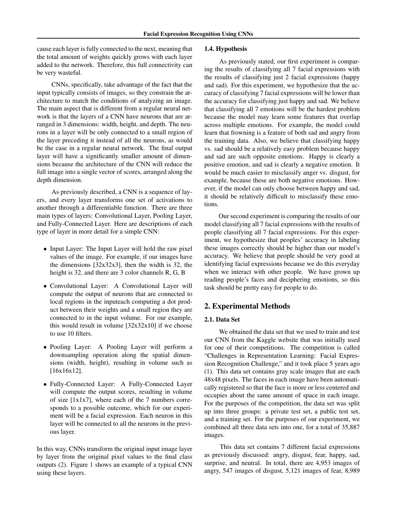cause each layer is fully connected to the next, meaning that the total amount of weights quickly grows with each layer added to the network. Therefore, this full connectivity can be very wasteful.

CNNs, specifically, take advantage of the fact that the input typically consists of images, so they constrain the architecture to match the conditions of analyzing an image. The main aspect that is different from a regular neural network is that the layers of a CNN have neurons that are arranged in 3 dimensions: width, height, and depth. The neurons in a layer will be only connected to a small region of the layer preceding it instead of all the neurons, as would be the case in a regular neural network. The final output layer will have a significantly smaller amount of dimensions because the architecture of the CNN will reduce the full image into a single vector of scores, arranged along the depth dimension.

As previously described, a CNN is a sequence of layers, and every layer transforms one set of activations to another through a differentiable function. There are three main types of layers: Convolutional Layer, Pooling Layer, and Fully-Connected Layer. Here are descriptions of each type of layer in more detail for a simple CNN:

- Input Layer: The Input Layer will hold the raw pixel values of the image. For example, if our images have the dimensions [32x32x3], then the width is 32, the height is 32, and there are 3 color channels R, G, B
- Convolutional Layer: A Convolutional Layer will compute the output of neurons that are connected to local regions in the inputeach computing a dot product between their weights and a small region they are connected to in the input volume. For our example, this would result in volume  $[32x32x10]$  if we choose to use 10 filters.
- Pooling Layer: A Pooling Layer will perform a downsampling operation along the spatial dimensions (width, height), resulting in volume such as [16x16x12].
- Fully-Connected Layer: A Fully-Connected Layer will compute the output scores, resulting in volume of size  $[1x1x7]$ , where each of the 7 numbers corresponds to a possible outcome, which for our experiment will be a facial expression. Each neuron in this layer will be connected to all the neurons in the previous layer.

In this way, CNNs transform the original input image layer by layer from the original pixel values to the final class outputs [\(2\)](#page-7-0). Figure [1](#page-1-0) shows an example of a typical CNN using these layers.

#### 1.4. Hypothesis

As previously stated, our first experiment is comparing the results of classifying all 7 facial expressions with the results of classifying just 2 facial expressions (happy and sad). For this experiment, we hypothesize that the accuracy of classifying 7 facial expressions will be lower than the accuracy for classifying just happy and sad. We believe that classifying all 7 emotions will be the hardest problem because the model may learn some features that overlap across multiple emotions. For example, the model could learn that frowning is a feature of both sad and angry from the training data. Also, we believe that classifying happy vs. sad should be a relatively easy problem because happy and sad are such opposite emotions. Happy is clearly a positive emotion, and sad is clearly a negative emotion. It would be much easier to misclassify anger vs. disgust, for example, because these are both negative emotions. However, if the model can only choose between happy and sad, it should be relatively difficult to misclassify these emotions.

Our second experiment is comparing the results of our model classifying all 7 facial expressions with the results of people classifying all 7 facial expressions. For this experiment, we hypothesize that peoples' accuracy in labeling these images correctly should be higher than our model's accuracy. We believe that people should be very good at identifying facial expressions because we do this everyday when we interact with other people. We have grown up reading people's faces and deciphering emotions, so this task should be pretty easy for people to do.

# 2. Experimental Methods

#### 2.1. Data Set

We obtained the data set that we used to train and test our CNN from the Kaggle website that was initially used for one of their competitions. The competition is called "Challenges in Representation Learning: Facial Expression Recognition Challenge," and it took place 5 years ago [\(1\)](#page-7-0). This data set contains gray scale images that are each 48x48 pixels. The faces in each image have been automatically registered so that the face is more or less centered and occupies about the same amount of space in each image. For the purposes of the competition, the data set was split up into three groups: a private test set, a public test set, and a training set. For the purposes of our experiment, we combined all three data sets into one, for a total of 35,887 images.

This data set contains 7 different facial expressions as previously discussed: angry, disgust, fear, happy, sad, surprise, and neutral. In total, there are 4,953 images of angry, 547 images of disgust, 5,121 images of fear, 8,989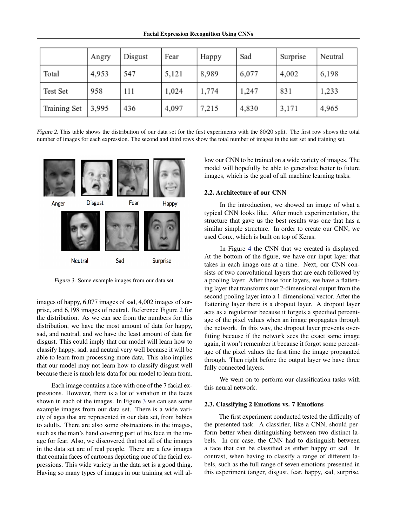Facial Expression Recognition Using CNNs

<span id="page-3-0"></span>

|              | Angry | Disgust | Fear  | Happy | Sad   | Surprise | Neutral |
|--------------|-------|---------|-------|-------|-------|----------|---------|
| Total        | 4,953 | 547     | 5,121 | 8,989 | 6,077 | 4,002    | 6,198   |
| Test Set     | 958   | 111     | 1,024 | 1,774 | 1,247 | 831      | 1,233   |
| Training Set | 3,995 | 436     | 4,097 | 7,215 | 4,830 | 3,171    | 4,965   |

Figure 2. This table shows the distribution of our data set for the first experiments with the 80/20 split. The first row shows the total number of images for each expression. The second and third rows show the total number of images in the test set and training set.



Figure 3. Some example images from our data set.

images of happy, 6,077 images of sad, 4,002 images of surprise, and 6,198 images of neutral. Reference Figure 2 for the distribution. As we can see from the numbers for this distribution, we have the most amount of data for happy, sad, and neutral, and we have the least amount of data for disgust. This could imply that our model will learn how to classify happy, sad, and neutral very well because it will be able to learn from processing more data. This also implies that our model may not learn how to classify disgust well because there is much less data for our model to learn from.

Each image contains a face with one of the 7 facial expressions. However, there is a lot of variation in the faces shown in each of the images. In Figure 3 we can see some example images from our data set. There is a wide variety of ages that are represented in our data set, from babies to adults. There are also some obstructions in the images, such as the man's hand covering part of his face in the image for fear. Also, we discovered that not all of the images in the data set are of real people. There are a few images that contain faces of cartoons depicting one of the facial expressions. This wide variety in the data set is a good thing. Having so many types of images in our training set will allow our CNN to be trained on a wide variety of images. The model will hopefully be able to generalize better to future images, which is the goal of all machine learning tasks.

## 2.2. Architecture of our CNN

In the introduction, we showed an image of what a typical CNN looks like. After much experimentation, the structure that gave us the best results was one that has a similar simple structure. In order to create our CNN, we used Conx, which is built on top of Keras.

In Figure [4](#page-4-0) the CNN that we created is displayed. At the bottom of the figure, we have our input layer that takes in each image one at a time. Next, our CNN consists of two convolutional layers that are each followed by a pooling layer. After these four layers, we have a flattening layer that transforms our 2-dimensional output from the second pooling layer into a 1-dimensional vector. After the flattening layer there is a dropout layer. A dropout layer acts as a regularizer because it forgets a specified percentage of the pixel values when an image propagates through the network. In this way, the dropout layer prevents overfitting because if the network sees the exact same image again, it won't remember it because it forgot some percentage of the pixel values the first time the image propagated through. Then right before the output layer we have three fully connected layers.

We went on to perform our classification tasks with this neural network.

## 2.3. Classifying 2 Emotions vs. 7 Emotions

The first experiment conducted tested the difficulty of the presented task. A classifier, like a CNN, should perform better when distinguishing between two distinct labels. In our case, the CNN had to distinguish between a face that can be classified as either happy or sad. In contrast, when having to classify a range of different labels, such as the full range of seven emotions presented in this experiment (anger, disgust, fear, happy, sad, surprise,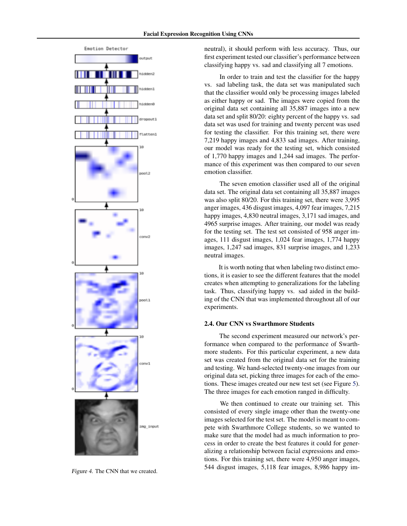<span id="page-4-0"></span>

Figure 4. The CNN that we created.

neutral), it should perform with less accuracy. Thus, our first experiment tested our classifier's performance between classifying happy vs. sad and classifying all 7 emotions.

In order to train and test the classifier for the happy vs. sad labeling task, the data set was manipulated such that the classifier would only be processing images labeled as either happy or sad. The images were copied from the original data set containing all 35,887 images into a new data set and split 80/20: eighty percent of the happy vs. sad data set was used for training and twenty percent was used for testing the classifier. For this training set, there were 7,219 happy images and 4,833 sad images. After training, our model was ready for the testing set, which consisted of 1,770 happy images and 1,244 sad images. The performance of this experiment was then compared to our seven emotion classifier.

The seven emotion classifier used all of the original data set. The original data set containing all 35,887 images was also split 80/20. For this training set, there were 3,995 anger images, 436 disgust images, 4,097 fear images, 7,215 happy images, 4,830 neutral images, 3,171 sad images, and 4965 surprise images. After training, our model was ready for the testing set. The test set consisted of 958 anger images, 111 disgust images, 1,024 fear images, 1,774 happy images, 1,247 sad images, 831 surprise images, and 1,233 neutral images.

It is worth noting that when labeling two distinct emotions, it is easier to see the different features that the model creates when attempting to generalizations for the labeling task. Thus, classifying happy vs. sad aided in the building of the CNN that was implemented throughout all of our experiments.

## 2.4. Our CNN vs Swarthmore Students

The second experiment measured our network's performance when compared to the performance of Swarthmore students. For this particular experiment, a new data set was created from the original data set for the training and testing. We hand-selected twenty-one images from our original data set, picking three images for each of the emotions. These images created our new test set (see Figure [5\)](#page-5-0). The three images for each emotion ranged in difficulty.

We then continued to create our training set. This consisted of every single image other than the twenty-one images selected for the test set. The model is meant to compete with Swarthmore College students, so we wanted to make sure that the model had as much information to process in order to create the best features it could for generalizing a relationship between facial expressions and emotions. For this training set, there were 4,950 anger images, 544 disgust images, 5,118 fear images, 8,986 happy im-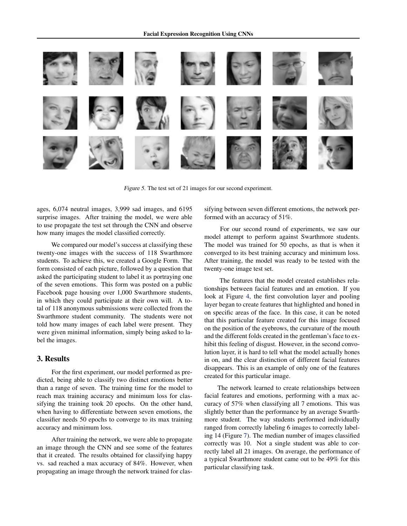<span id="page-5-0"></span>

Figure 5. The test set of 21 images for our second experiment.

ages, 6,074 neutral images, 3,999 sad images, and 6195 surprise images. After training the model, we were able to use propagate the test set through the CNN and observe how many images the model classified correctly.

We compared our model's success at classifying these twenty-one images with the success of 118 Swarthmore students. To achieve this, we created a Google Form. The form consisted of each picture, followed by a question that asked the participating student to label it as portraying one of the seven emotions. This form was posted on a public Facebook page housing over 1,000 Swarthmore students, in which they could participate at their own will. A total of 118 anonymous submissions were collected from the Swarthmore student community. The students were not told how many images of each label were present. They were given minimal information, simply being asked to label the images.

# 3. Results

For the first experiment, our model performed as predicted, being able to classify two distinct emotions better than a range of seven. The training time for the model to reach max training accuracy and minimum loss for classifying the training took 20 epochs. On the other hand, when having to differentiate between seven emotions, the classifier needs 50 epochs to converge to its max training accuracy and minimum loss.

After training the network, we were able to propagate an image through the CNN and see some of the features that it created. The results obtained for classifying happy vs. sad reached a max accuracy of 84%. However, when propagating an image through the network trained for classifying between seven different emotions, the network performed with an accuracy of 51%.

For our second round of experiments, we saw our model attempt to perform against Swarthmore students. The model was trained for 50 epochs, as that is when it converged to its best training accuracy and minimum loss. After training, the model was ready to be tested with the twenty-one image test set.

The features that the model created establishes relationships between facial features and an emotion. If you look at Figure [4,](#page-4-0) the first convolution layer and pooling layer began to create features that highlighted and honed in on specific areas of the face. In this case, it can be noted that this particular feature created for this image focused on the position of the eyebrows, the curvature of the mouth and the different folds created in the gentleman's face to exhibit this feeling of disgust. However, in the second convolution layer, it is hard to tell what the model actually hones in on, and the clear distinction of different facial features disappears. This is an example of only one of the features created for this particular image.

The network learned to create relationships between facial features and emotions, performing with a max accuracy of 57% when classifying all 7 emotions. This was slightly better than the performance by an average Swarthmore student. The way students performed individually ranged from correctly labeling 6 images to correctly labeling 14 (Figure [7\)](#page-7-0). The median number of images classified correctly was 10. Not a single student was able to correctly label all 21 images. On average, the performance of a typical Swarthmore student came out to be 49% for this particular classifying task.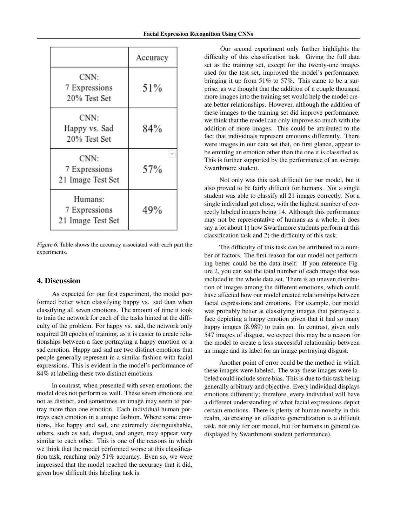|                                               | Accuracy |
|-----------------------------------------------|----------|
| CNN:<br>7 Expressions<br>20% Test Set         | 51%      |
| CNN:<br>Happy vs. Sad<br>20% Test Set         | 84%      |
| CNN:<br>7 Expressions<br>21 Image Test Set    | 57%      |
| Humans:<br>7 Expressions<br>21 Image Test Set | 49%      |

Figure 6. Table shows the accuracy associated with each part the experiments.

# 4. Discussion

As expected for our first experiment, the model performed better when classifying happy vs. sad than when classifying all seven emotions. The amount of time it took to train the network for each of the tasks hinted at the difficulty of the problem. For happy vs. sad, the network only required 20 epochs of training, as it is easier to create relationships between a face portraying a happy emotion or a sad emotion. Happy and sad are two distinct emotions that people generally represent in a similar fashion with facial expressions. This is evident in the model's performance of 84% at labeling these two distinct emotions.

In contrast, when presented with seven emotions, the model does not perform as well. These seven emotions are not as distinct, and sometimes an image may seem to portray more than one emotion. Each individual human portrays each emotion in a unique fashion. Where some emotions, like happy and sad, are extremely distinguishable, others, such as sad, disgust, and anger, may appear very similar to each other. This is one of the reasons in which we think that the model performed worse at this classification task, reaching only 51% accuracy. Even so, we were impressed that the model reached the accuracy that it did, given how difficult this labeling task is.

Our second experiment only further highlights the difficulty of this classification task. Giving the full data set as the training set, except for the twenty-one images used for the test set, improved the model's performance, bringing it up from 51% to 57%. This came to be a surprise, as we thought that the addition of a couple thousand more images into the training set would help the model create better relationships. However, although the addition of these images to the training set did improve performance, we think that the model can only improve so much with the addition of more images. This could be attributed to the fact that individuals represent emotions differently. There were images in our data set that, on first glance, appear to be emitting an emotion other than the one it is classified as. This is further supported by the performance of an average Swarthmore student.

Not only was this task difficult for our model, but it also proved to be fairly difficult for humans. Not a single student was able to classify all 21 images correctly. Not a single individual got close, with the highest number of correctly labeled images being 14. Although this performance may not be representative of humans as a whole, it does say a lot about 1) how Swarthmore students perform at this classification task and 2) the difficulty of this task.

The difficulty of this task can be attributed to a number of factors. The first reason for our model not performing better could be the data itself. If you reference Figure [2,](#page-3-0) you can see the total number of each image that was included in the whole data set. There is an uneven distribution of images among the different emotions, which could have affected how our model created relationships between facial expressions and emotions. For example, our model was probably better at classifying images that portrayed a face depicting a happy emotion given that it had so many happy images  $(8,989)$  to train on. In contrast, given only 547 images of disgust, we expect this may be a reason for the model to create a less successful relationship between an image and its label for an image portraying disgust.

Another point of error could be the method in which these images were labeled. The way these images were labeled could include some bias. This is due to this task being generally arbitrary and objective. Every individual displays emotions differently; therefore, every individual will have a different understanding of what facial expressions depict certain emotions. There is plenty of human novelty in this realm, so creating an effective generalization is a difficult task, not only for our model, but for humans in general (as displayed by Swarthmore student performance).